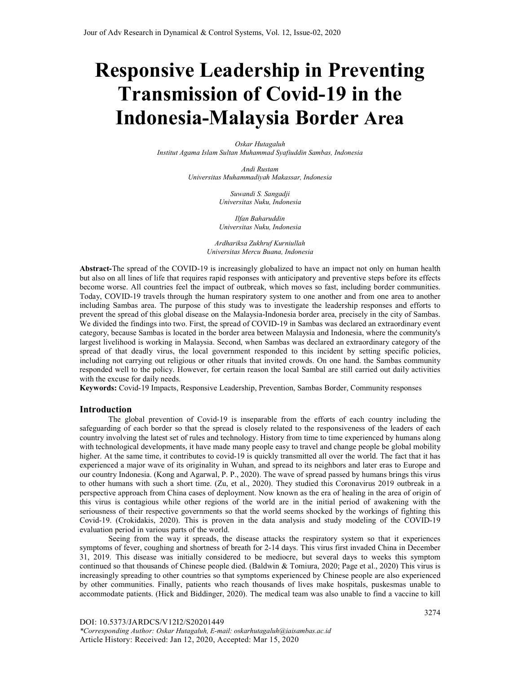# **Responsive Leadership in Preventing Transmission of Covid-19 in the Indonesia-Malaysia Border Area**

*Oskar Hutagaluh Institut Agama Islam Sultan Muhammad Syafiuddin Sambas, Indonesia* 

> *Andi Rustam Universitas Muhammadiyah Makassar, Indonesia*

> > *Suwandi S. Sangadji Universitas Nuku, Indonesia*

> > *Ilfan Baharuddin Universitas Nuku, Indonesia*

*Ardhariksa Zukhruf Kurniullah Universitas Mercu Buana, Indonesia* 

**Abstract-**The spread of the COVID-19 is increasingly globalized to have an impact not only on human health but also on all lines of life that requires rapid responses with anticipatory and preventive steps before its effects become worse. All countries feel the impact of outbreak, which moves so fast, including border communities. Today, COVID-19 travels through the human respiratory system to one another and from one area to another including Sambas area. The purpose of this study was to investigate the leadership responses and efforts to prevent the spread of this global disease on the Malaysia-Indonesia border area, precisely in the city of Sambas. We divided the findings into two. First, the spread of COVID-19 in Sambas was declared an extraordinary event category, because Sambas is located in the border area between Malaysia and Indonesia, where the community's largest livelihood is working in Malaysia. Second, when Sambas was declared an extraordinary category of the spread of that deadly virus, the local government responded to this incident by setting specific policies, including not carrying out religious or other rituals that invited crowds. On one hand. the Sambas community responded well to the policy. However, for certain reason the local Sambal are still carried out daily activities with the excuse for daily needs.

**Keywords:** Covid-19 Impacts, Responsive Leadership, Prevention, Sambas Border, Community responses

## **Introduction**

The global prevention of Covid-19 is inseparable from the efforts of each country including the safeguarding of each border so that the spread is closely related to the responsiveness of the leaders of each country involving the latest set of rules and technology. History from time to time experienced by humans along with technological developments, it have made many people easy to travel and change people be global mobility higher. At the same time, it contributes to covid-19 is quickly transmitted all over the world. The fact that it has experienced a major wave of its originality in Wuhan, and spread to its neighbors and later eras to Europe and our country Indonesia. (Kong and Agarwal, P. P., 2020). The wave of spread passed by humans brings this virus to other humans with such a short time. (Zu, et al., 2020). They studied this Coronavirus 2019 outbreak in a perspective approach from China cases of deployment. Now known as the era of healing in the area of origin of this virus is contagious while other regions of the world are in the initial period of awakening with the seriousness of their respective governments so that the world seems shocked by the workings of fighting this Covid-19. (Crokidakis, 2020). This is proven in the data analysis and study modeling of the COVID-19 evaluation period in various parts of the world.

Seeing from the way it spreads, the disease attacks the respiratory system so that it experiences symptoms of fever, coughing and shortness of breath for 2-14 days. This virus first invaded China in December 31, 2019. This disease was initially considered to be mediocre, but several days to weeks this symptom continued so that thousands of Chinese people died. (Baldwin & Tomiura, 2020; Page et al., 2020) This virus is increasingly spreading to other countries so that symptoms experienced by Chinese people are also experienced by other communities. Finally, patients who reach thousands of lives make hospitals, puskesmas unable to accommodate patients. (Hick and Biddinger, 2020). The medical team was also unable to find a vaccine to kill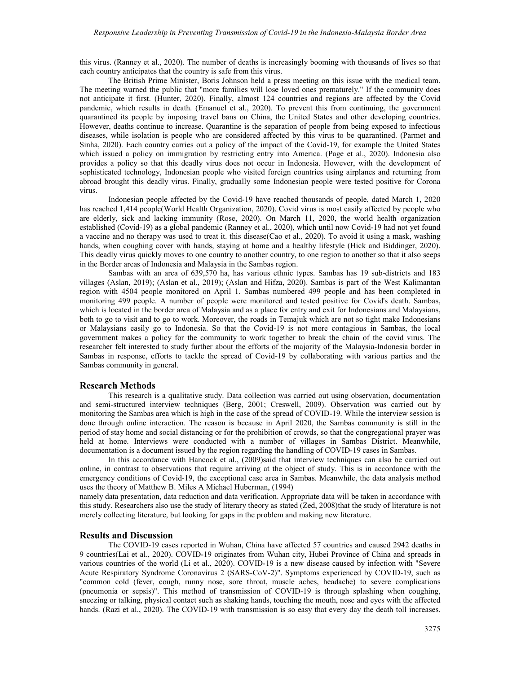this virus. (Ranney et al., 2020). The number of deaths is increasingly booming with thousands of lives so that each country anticipates that the country is safe from this virus.

The British Prime Minister, Boris Johnson held a press meeting on this issue with the medical team. The meeting warned the public that "more families will lose loved ones prematurely." If the community does not anticipate it first. (Hunter, 2020). Finally, almost 124 countries and regions are affected by the Covid pandemic, which results in death. (Emanuel et al., 2020). To prevent this from continuing, the government quarantined its people by imposing travel bans on China, the United States and other developing countries. However, deaths continue to increase. Quarantine is the separation of people from being exposed to infectious diseases, while isolation is people who are considered affected by this virus to be quarantined. (Parmet and Sinha, 2020). Each country carries out a policy of the impact of the Covid-19, for example the United States which issued a policy on immigration by restricting entry into America. (Page et al., 2020). Indonesia also provides a policy so that this deadly virus does not occur in Indonesia. However, with the development of sophisticated technology, Indonesian people who visited foreign countries using airplanes and returning from abroad brought this deadly virus. Finally, gradually some Indonesian people were tested positive for Corona virus.

Indonesian people affected by the Covid-19 have reached thousands of people, dated March 1, 2020 has reached 1,414 people(World Health Organization, 2020). Covid virus is most easily affected by people who are elderly, sick and lacking immunity (Rose, 2020). On March 11, 2020, the world health organization established (Covid-19) as a global pandemic (Ranney et al., 2020), which until now Covid-19 had not yet found a vaccine and no therapy was used to treat it. this disease(Cao et al., 2020). To avoid it using a mask, washing hands, when coughing cover with hands, staying at home and a healthy lifestyle (Hick and Biddinger, 2020). This deadly virus quickly moves to one country to another country, to one region to another so that it also seeps in the Border areas of Indonesia and Malaysia in the Sambas region.

Sambas with an area of 639,570 ha, has various ethnic types. Sambas has 19 sub-districts and 183 villages (Aslan, 2019); (Aslan et al., 2019); (Aslan and Hifza, 2020). Sambas is part of the West Kalimantan region with 4504 people monitored on April 1. Sambas numbered 499 people and has been completed in monitoring 499 people. A number of people were monitored and tested positive for Covid's death. Sambas, which is located in the border area of Malaysia and as a place for entry and exit for Indonesians and Malaysians, both to go to visit and to go to work. Moreover, the roads in Temajuk which are not so tight make Indonesians or Malaysians easily go to Indonesia. So that the Covid-19 is not more contagious in Sambas, the local government makes a policy for the community to work together to break the chain of the covid virus. The researcher felt interested to study further about the efforts of the majority of the Malaysia-Indonesia border in Sambas in response, efforts to tackle the spread of Covid-19 by collaborating with various parties and the Sambas community in general.

#### **Research Methods**

This research is a qualitative study. Data collection was carried out using observation, documentation and semi-structured interview techniques (Berg, 2001; Creswell, 2009). Observation was carried out by monitoring the Sambas area which is high in the case of the spread of COVID-19. While the interview session is done through online interaction. The reason is because in April 2020, the Sambas community is still in the period of stay home and social distancing or for the prohibition of crowds, so that the congregational prayer was held at home. Interviews were conducted with a number of villages in Sambas District. Meanwhile, documentation is a document issued by the region regarding the handling of COVID-19 cases in Sambas.

 In this accordance with Hancock et al., (2009)said that interview techniques can also be carried out online, in contrast to observations that require arriving at the object of study. This is in accordance with the emergency conditions of Covid-19, the exceptional case area in Sambas. Meanwhile, the data analysis method uses the theory of Matthew B. Miles A Michael Huberman, (1994)

namely data presentation, data reduction and data verification. Appropriate data will be taken in accordance with this study. Researchers also use the study of literary theory as stated (Zed, 2008)that the study of literature is not merely collecting literature, but looking for gaps in the problem and making new literature.

#### **Results and Discussion**

The COVID-19 cases reported in Wuhan, China have affected 57 countries and caused 2942 deaths in 9 countries(Lai et al., 2020). COVID-19 originates from Wuhan city, Hubei Province of China and spreads in various countries of the world (Li et al., 2020). COVID-19 is a new disease caused by infection with "Severe Acute Respiratory Syndrome Coronavirus 2 (SARS-CoV-2)". Symptoms experienced by COVID-19, such as "common cold (fever, cough, runny nose, sore throat, muscle aches, headache) to severe complications (pneumonia or sepsis)". This method of transmission of COVID-19 is through splashing when coughing, sneezing or talking, physical contact such as shaking hands, touching the mouth, nose and eyes with the affected hands. (Razi et al., 2020). The COVID-19 with transmission is so easy that every day the death toll increases.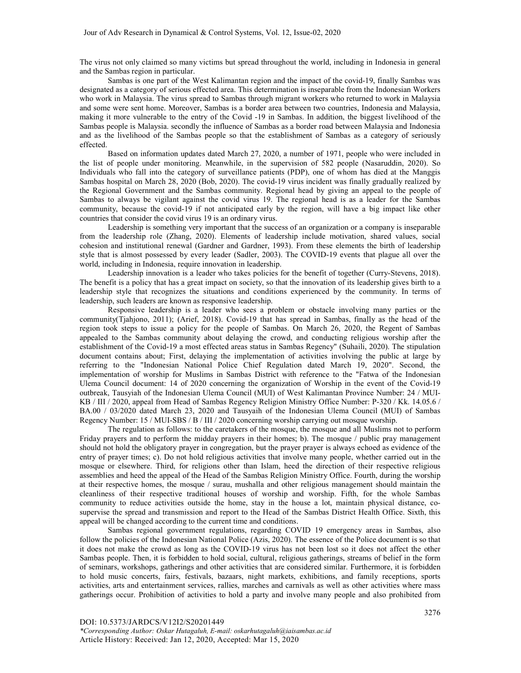The virus not only claimed so many victims but spread throughout the world, including in Indonesia in general and the Sambas region in particular.

Sambas is one part of the West Kalimantan region and the impact of the covid-19, finally Sambas was designated as a category of serious effected area. This determination is inseparable from the Indonesian Workers who work in Malaysia. The virus spread to Sambas through migrant workers who returned to work in Malaysia and some were sent home. Moreover, Sambas is a border area between two countries, Indonesia and Malaysia, making it more vulnerable to the entry of the Covid -19 in Sambas. In addition, the biggest livelihood of the Sambas people is Malaysia. secondly the influence of Sambas as a border road between Malaysia and Indonesia and as the livelihood of the Sambas people so that the establishment of Sambas as a category of seriously effected.

Based on information updates dated March 27, 2020, a number of 1971, people who were included in the list of people under monitoring. Meanwhile, in the supervision of 582 people (Nasaruddin, 2020). So Individuals who fall into the category of surveillance patients (PDP), one of whom has died at the Manggis Sambas hospital on March 28, 2020 (Bob, 2020). The covid-19 virus incident was finally gradually realized by the Regional Government and the Sambas community. Regional head by giving an appeal to the people of Sambas to always be vigilant against the covid virus 19. The regional head is as a leader for the Sambas community, because the covid-19 if not anticipated early by the region, will have a big impact like other countries that consider the covid virus 19 is an ordinary virus.

Leadership is something very important that the success of an organization or a company is inseparable from the leadership role (Zhang, 2020). Elements of leadership include motivation, shared values, social cohesion and institutional renewal (Gardner and Gardner, 1993). From these elements the birth of leadership style that is almost possessed by every leader (Sadler, 2003). The COVID-19 events that plague all over the world, including in Indonesia, require innovation in leadership.

Leadership innovation is a leader who takes policies for the benefit of together (Curry-Stevens, 2018). The benefit is a policy that has a great impact on society, so that the innovation of its leadership gives birth to a leadership style that recognizes the situations and conditions experienced by the community. In terms of leadership, such leaders are known as responsive leadership.

Responsive leadership is a leader who sees a problem or obstacle involving many parties or the community(Tjahjono, 2011); (Arief, 2018). Covid-19 that has spread in Sambas, finally as the head of the region took steps to issue a policy for the people of Sambas. On March 26, 2020, the Regent of Sambas appealed to the Sambas community about delaying the crowd, and conducting religious worship after the establishment of the Covid-19 a most effected areas status in Sambas Regency" (Suhaili, 2020). The stipulation document contains about; First, delaying the implementation of activities involving the public at large by referring to the "Indonesian National Police Chief Regulation dated March 19, 2020". Second, the implementation of worship for Muslims in Sambas District with reference to the "Fatwa of the Indonesian Ulema Council document: 14 of 2020 concerning the organization of Worship in the event of the Covid-19 outbreak, Tausyiah of the Indonesian Ulema Council (MUI) of West Kalimantan Province Number: 24 / MUI-KB / III / 2020, appeal from Head of Sambas Regency Religion Ministry Office Number: P-320 / Kk. 14.05.6 / BA.00 / 03/2020 dated March 23, 2020 and Tausyaih of the Indonesian Ulema Council (MUI) of Sambas Regency Number: 15 / MUI-SBS / B / III / 2020 concerning worship carrying out mosque worship.

The regulation as follows: to the caretakers of the mosque, the mosque and all Muslims not to perform Friday prayers and to perform the midday prayers in their homes; b). The mosque / public pray management should not hold the obligatory prayer in congregation, but the prayer prayer is always echoed as evidence of the entry of prayer times; c). Do not hold religious activities that involve many people, whether carried out in the mosque or elsewhere. Third, for religions other than Islam, heed the direction of their respective religious assemblies and heed the appeal of the Head of the Sambas Religion Ministry Office. Fourth, during the worship at their respective homes, the mosque / surau, mushalla and other religious management should maintain the cleanliness of their respective traditional houses of worship and worship. Fifth, for the whole Sambas community to reduce activities outside the home, stay in the house a lot, maintain physical distance, cosupervise the spread and transmission and report to the Head of the Sambas District Health Office. Sixth, this appeal will be changed according to the current time and conditions.

Sambas regional government regulations, regarding COVID 19 emergency areas in Sambas, also follow the policies of the Indonesian National Police (Azis, 2020). The essence of the Police document is so that it does not make the crowd as long as the COVID-19 virus has not been lost so it does not affect the other Sambas people. Then, it is forbidden to hold social, cultural, religious gatherings, streams of belief in the form of seminars, workshops, gatherings and other activities that are considered similar. Furthermore, it is forbidden to hold music concerts, fairs, festivals, bazaars, night markets, exhibitions, and family receptions, sports activities, arts and entertainment services, rallies, marches and carnivals as well as other activities where mass gatherings occur. Prohibition of activities to hold a party and involve many people and also prohibited from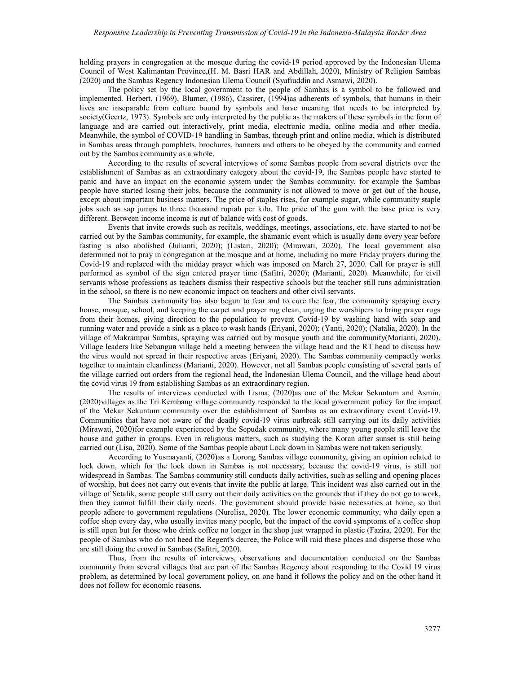holding prayers in congregation at the mosque during the covid-19 period approved by the Indonesian Ulema Council of West Kalimantan Province,(H. M. Basri HAR and Abdillah, 2020), Ministry of Religion Sambas (2020) and the Sambas Regency Indonesian Ulema Council (Syafiuddin and Asmawi, 2020).

The policy set by the local government to the people of Sambas is a symbol to be followed and implemented. Herbert, (1969), Blumer, (1986), Cassirer, (1994)as adherents of symbols, that humans in their lives are inseparable from culture bound by symbols and have meaning that needs to be interpreted by society(Geertz, 1973). Symbols are only interpreted by the public as the makers of these symbols in the form of language and are carried out interactively, print media, electronic media, online media and other media. Meanwhile, the symbol of COVID-19 handling in Sambas, through print and online media, which is distributed in Sambas areas through pamphlets, brochures, banners and others to be obeyed by the community and carried out by the Sambas community as a whole.

According to the results of several interviews of some Sambas people from several districts over the establishment of Sambas as an extraordinary category about the covid-19, the Sambas people have started to panic and have an impact on the economic system under the Sambas community, for example the Sambas people have started losing their jobs, because the community is not allowed to move or get out of the house, except about important business matters. The price of staples rises, for example sugar, while community staple jobs such as sap jumps to three thousand rupiah per kilo. The price of the gum with the base price is very different. Between income income is out of balance with cost of goods.

Events that invite crowds such as recitals, weddings, meetings, associations, etc. have started to not be carried out by the Sambas community, for example, the shamanic event which is usually done every year before fasting is also abolished (Julianti, 2020); (Listari, 2020); (Mirawati, 2020). The local government also determined not to pray in congregation at the mosque and at home, including no more Friday prayers during the Covid-19 and replaced with the midday prayer which was imposed on March 27, 2020. Call for prayer is still performed as symbol of the sign entered prayer time (Safitri, 2020); (Marianti, 2020). Meanwhile, for civil servants whose professions as teachers dismiss their respective schools but the teacher still runs administration in the school, so there is no new economic impact on teachers and other civil servants.

The Sambas community has also begun to fear and to cure the fear, the community spraying every house, mosque, school, and keeping the carpet and prayer rug clean, urging the worshipers to bring prayer rugs from their homes, giving direction to the population to prevent Covid-19 by washing hand with soap and running water and provide a sink as a place to wash hands (Eriyani, 2020); (Yanti, 2020); (Natalia, 2020). In the village of Makrampai Sambas, spraying was carried out by mosque youth and the community(Marianti, 2020). Village leaders like Sebangun village held a meeting between the village head and the RT head to discuss how the virus would not spread in their respective areas (Eriyani, 2020). The Sambas community compactly works together to maintain cleanliness (Marianti, 2020). However, not all Sambas people consisting of several parts of the village carried out orders from the regional head, the Indonesian Ulema Council, and the village head about the covid virus 19 from establishing Sambas as an extraordinary region.

The results of interviews conducted with Lisma, (2020)as one of the Mekar Sekuntum and Asmin, (2020)villages as the Tri Kembang village community responded to the local government policy for the impact of the Mekar Sekuntum community over the establishment of Sambas as an extraordinary event Covid-19. Communities that have not aware of the deadly covid-19 virus outbreak still carrying out its daily activities (Mirawati, 2020)for example experienced by the Sepudak community, where many young people still leave the house and gather in groups. Even in religious matters, such as studying the Koran after sunset is still being carried out (Lisa, 2020). Some of the Sambas people about Lock down in Sambas were not taken seriously.

 According to Yusmayanti, (2020)as a Lorong Sambas village community, giving an opinion related to lock down, which for the lock down in Sambas is not necessary, because the covid-19 virus, is still not widespread in Sambas. The Sambas community still conducts daily activities, such as selling and opening places of worship, but does not carry out events that invite the public at large. This incident was also carried out in the village of Setalik, some people still carry out their daily activities on the grounds that if they do not go to work, then they cannot fulfill their daily needs. The government should provide basic necessities at home, so that people adhere to government regulations (Nurelisa, 2020). The lower economic community, who daily open a coffee shop every day, who usually invites many people, but the impact of the covid symptoms of a coffee shop is still open but for those who drink coffee no longer in the shop just wrapped in plastic (Fazira, 2020). For the people of Sambas who do not heed the Regent's decree, the Police will raid these places and disperse those who are still doing the crowd in Sambas (Safitri, 2020).

 Thus, from the results of interviews, observations and documentation conducted on the Sambas community from several villages that are part of the Sambas Regency about responding to the Covid 19 virus problem, as determined by local government policy, on one hand it follows the policy and on the other hand it does not follow for economic reasons.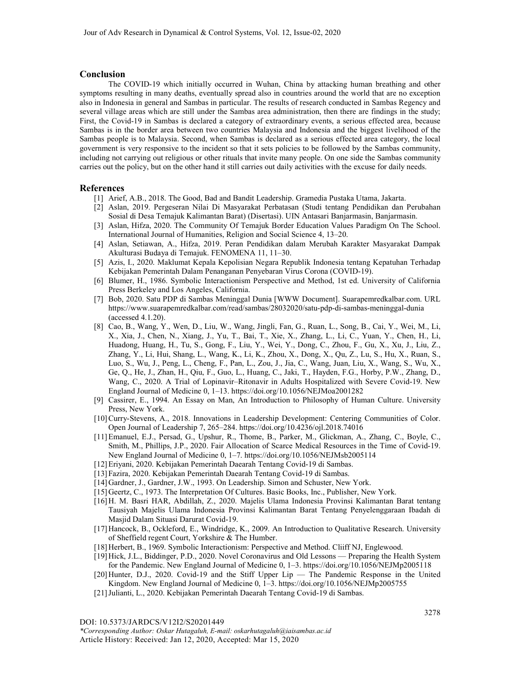## **Conclusion**

The COVID-19 which initially occurred in Wuhan, China by attacking human breathing and other symptoms resulting in many deaths, eventually spread also in countries around the world that are no exception also in Indonesia in general and Sambas in particular. The results of research conducted in Sambas Regency and several village areas which are still under the Sambas area administration, then there are findings in the study; First, the Covid-19 in Sambas is declared a category of extraordinary events, a serious effected area, because Sambas is in the border area between two countries Malaysia and Indonesia and the biggest livelihood of the Sambas people is to Malaysia. Second, when Sambas is declared as a serious effected area category, the local government is very responsive to the incident so that it sets policies to be followed by the Sambas community, including not carrying out religious or other rituals that invite many people. On one side the Sambas community carries out the policy, but on the other hand it still carries out daily activities with the excuse for daily needs.

#### **References**

- [1] Arief, A.B., 2018. The Good, Bad and Bandit Leadership. Gramedia Pustaka Utama, Jakarta.
- [2] Aslan, 2019. Pergeseran Nilai Di Masyarakat Perbatasan (Studi tentang Pendidikan dan Perubahan Sosial di Desa Temajuk Kalimantan Barat) (Disertasi). UIN Antasari Banjarmasin, Banjarmasin.
- [3] Aslan, Hifza, 2020. The Community Of Temajuk Border Education Values Paradigm On The School. International Journal of Humanities, Religion and Social Science 4, 13–20.
- [4] Aslan, Setiawan, A., Hifza, 2019. Peran Pendidikan dalam Merubah Karakter Masyarakat Dampak Akulturasi Budaya di Temajuk. FENOMENA 11, 11–30.
- [5] Azis, I., 2020. Maklumat Kepala Kepolisian Negara Republik Indonesia tentang Kepatuhan Terhadap Kebijakan Pemerintah Dalam Penanganan Penyebaran Virus Corona (COVID-19).
- [6] Blumer, H., 1986. Symbolic Interactionism Perspective and Method, 1st ed. University of California Press Berkeley and Los Angeles, California.
- [7] Bob, 2020. Satu PDP di Sambas Meninggal Dunia [WWW Document]. Suarapemredkalbar.com. URL https://www.suarapemredkalbar.com/read/sambas/28032020/satu-pdp-di-sambas-meninggal-dunia (accessed 4.1.20).
- [8] Cao, B., Wang, Y., Wen, D., Liu, W., Wang, Jingli, Fan, G., Ruan, L., Song, B., Cai, Y., Wei, M., Li, X., Xia, J., Chen, N., Xiang, J., Yu, T., Bai, T., Xie, X., Zhang, L., Li, C., Yuan, Y., Chen, H., Li, Huadong, Huang, H., Tu, S., Gong, F., Liu, Y., Wei, Y., Dong, C., Zhou, F., Gu, X., Xu, J., Liu, Z., Zhang, Y., Li, Hui, Shang, L., Wang, K., Li, K., Zhou, X., Dong, X., Qu, Z., Lu, S., Hu, X., Ruan, S., Luo, S., Wu, J., Peng, L., Cheng, F., Pan, L., Zou, J., Jia, C., Wang, Juan, Liu, X., Wang, S., Wu, X., Ge, Q., He, J., Zhan, H., Qiu, F., Guo, L., Huang, C., Jaki, T., Hayden, F.G., Horby, P.W., Zhang, D., Wang, C., 2020. A Trial of Lopinavir–Ritonavir in Adults Hospitalized with Severe Covid-19. New England Journal of Medicine 0, 1–13. https://doi.org/10.1056/NEJMoa2001282
- [9] Cassirer, E., 1994. An Essay on Man, An Introduction to Philosophy of Human Culture. University Press, New York.
- [10]Curry-Stevens, A., 2018. Innovations in Leadership Development: Centering Communities of Color. Open Journal of Leadership 7, 265–284. https://doi.org/10.4236/ojl.2018.74016
- [11]Emanuel, E.J., Persad, G., Upshur, R., Thome, B., Parker, M., Glickman, A., Zhang, C., Boyle, C., Smith, M., Phillips, J.P., 2020. Fair Allocation of Scarce Medical Resources in the Time of Covid-19. New England Journal of Medicine 0, 1–7. https://doi.org/10.1056/NEJMsb2005114
- [12]Eriyani, 2020. Kebijakan Pemerintah Daearah Tentang Covid-19 di Sambas.
- [13] Fazira, 2020. Kebijakan Pemerintah Daearah Tentang Covid-19 di Sambas.
- [14]Gardner, J., Gardner, J.W., 1993. On Leadership. Simon and Schuster, New York.
- [15] Geertz, C., 1973. The Interpretation Of Cultures. Basic Books, Inc., Publisher, New York.
- [16]H. M. Basri HAR, Abdillah, Z., 2020. Majelis Ulama Indonesia Provinsi Kalimantan Barat tentang Tausiyah Majelis Ulama Indonesia Provinsi Kalimantan Barat Tentang Penyelenggaraan Ibadah di Masjid Dalam Situasi Darurat Covid-19.
- [17]Hancock, B., Ockleford, E., Windridge, K., 2009. An Introduction to Qualitative Research. University of Sheffield regent Court, Yorkshire & The Humber.
- [18] Herbert, B., 1969. Symbolic Interactionism: Perspective and Method. Cliiff NJ, Englewood.
- [19]Hick, J.L., Biddinger, P.D., 2020. Novel Coronavirus and Old Lessons Preparing the Health System for the Pandemic. New England Journal of Medicine 0, 1–3. https://doi.org/10.1056/NEJMp2005118
- [20]Hunter, D.J., 2020. Covid-19 and the Stiff Upper Lip The Pandemic Response in the United Kingdom. New England Journal of Medicine 0, 1–3. https://doi.org/10.1056/NEJMp2005755
- [21]Julianti, L., 2020. Kebijakan Pemerintah Daearah Tentang Covid-19 di Sambas.

DOI: 10.5373/JARDCS/V12I2/S20201449